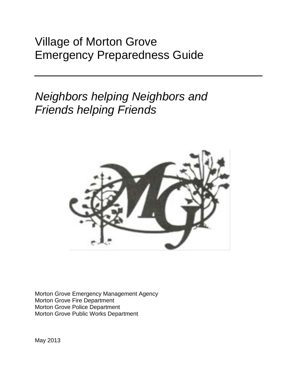# Village of Morton Grove Emergency Preparedness Guide

# *Neighbors helping Neighbors and Friends helping Friends*



Morton Grove Emergency Management Agency Morton Grove Fire Department Morton Grove Police Department Morton Grove Public Works Department

May 2013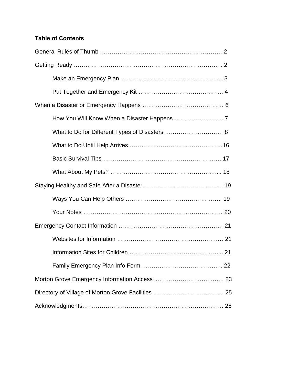## **Table of Contents**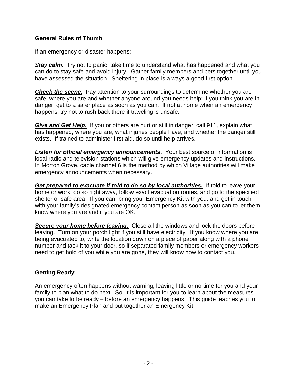#### **General Rules of Thumb**

If an emergency or disaster happens:

**Stay calm.** Try not to panic, take time to understand what has happened and what you can do to stay safe and avoid injury. Gather family members and pets together until you have assessed the situation. Sheltering in place is always a good first option.

*Check the scene.* Pay attention to your surroundings to determine whether you are safe, where you are and whether anyone around you needs help; if you think you are in danger, get to a safer place as soon as you can. If not at home when an emergency happens, try not to rush back there if traveling is unsafe.

*Give and Get Help.* If you or others are hurt or still in danger, call 911, explain what has happened, where you are, what injuries people have, and whether the danger still exists. If trained to administer first aid, do so until help arrives.

*Listen for official emergency announcements.* Your best source of information is local radio and television stations which will give emergency updates and instructions. In Morton Grove, cable channel 6 is the method by which Village authorities will make emergency announcements when necessary.

*Get prepared to evacuate if told to do so by local authorities.* If told to leave your home or work, do so right away, follow exact evacuation routes, and go to the specified shelter or safe area. If you can, bring your Emergency Kit with you, and get in touch with your family's designated emergency contact person as soon as you can to let them know where you are and if you are OK.

*Secure your home before leaving.* Close all the windows and lock the doors before leaving. Turn on your porch light if you still have electricity. If you know where you are being evacuated to, write the location down on a piece of paper along with a phone number and tack it to your door, so if separated family members or emergency workers need to get hold of you while you are gone, they will know how to contact you.

#### **Getting Ready**

An emergency often happens without warning, leaving little or no time for you and your family to plan what to do next. So, it is important for you to learn about the measures you can take to be ready – before an emergency happens. This guide teaches you to make an Emergency Plan and put together an Emergency Kit.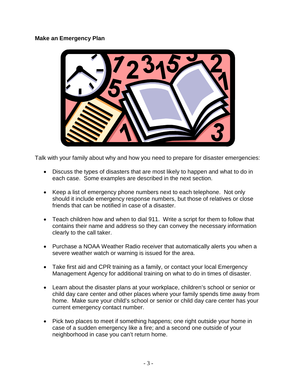#### **Make an Emergency Plan**



Talk with your family about why and how you need to prepare for disaster emergencies:

- Discuss the types of disasters that are most likely to happen and what to do in each case. Some examples are described in the next section.
- Keep a list of emergency phone numbers next to each telephone. Not only should it include emergency response numbers, but those of relatives or close friends that can be notified in case of a disaster.
- Teach children how and when to dial 911. Write a script for them to follow that contains their name and address so they can convey the necessary information clearly to the call taker.
- Purchase a NOAA Weather Radio receiver that automatically alerts you when a severe weather watch or warning is issued for the area.
- Take first aid and CPR training as a family, or contact your local Emergency Management Agency for additional training on what to do in times of disaster.
- Learn about the disaster plans at your workplace, children's school or senior or child day care center and other places where your family spends time away from home. Make sure your child's school or senior or child day care center has your current emergency contact number.
- Pick two places to meet if something happens; one right outside your home in case of a sudden emergency like a fire; and a second one outside of your neighborhood in case you can't return home.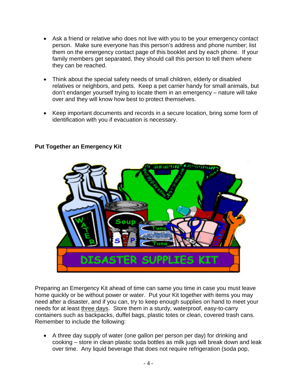- Ask a friend or relative who does not live with you to be your emergency contact person. Make sure everyone has this person's address and phone number; list them on the emergency contact page of this booklet and by each phone. If your family members get separated, they should call this person to tell them where they can be reached.
- Think about the special safety needs of small children, elderly or disabled relatives or neighbors, and pets. Keep a pet carrier handy for small animals, but don't endanger yourself trying to locate them in an emergency – nature will take over and they will know how best to protect themselves.
- Keep important documents and records in a secure location, bring some form of identification with you if evacuation is necessary.



## **Put Together an Emergency Kit**

Preparing an Emergency Kit ahead of time can same you time in case you must leave home quickly or be without power or water. Put your Kit together with items you may need after a disaster, and if you can, try to keep enough supplies on hand to meet your needs for at least three days. Store them in a sturdy, waterproof, easy-to-carry containers such as backpacks, duffel bags, plastic totes or clean, covered trash cans. Remember to include the following:

• A three day supply of water (one gallon per person per day) for drinking and cooking – store in clean plastic soda bottles as milk jugs will break down and leak over time. Any liquid beverage that does not require refrigeration (soda pop,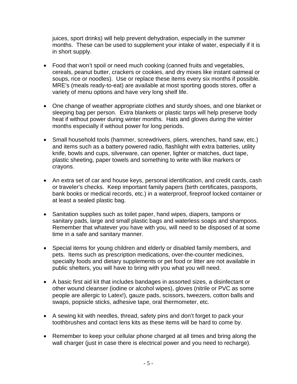juices, sport drinks) will help prevent dehydration, especially in the summer months. These can be used to supplement your intake of water, especially if it is in short supply.

- Food that won't spoil or need much cooking (canned fruits and vegetables, cereals, peanut butter, crackers or cookies, and dry mixes like instant oatmeal or soups, rice or noodles). Use or replace these items every six months if possible. MRE's (meals ready-to-eat) are available at most sporting goods stores, offer a variety of menu options and have very long shelf life.
- One change of weather appropriate clothes and sturdy shoes, and one blanket or sleeping bag per person. Extra blankets or plastic tarps will help preserve body heat if without power during winter months. Hats and gloves during the winter months especially if without power for long periods.
- Small household tools (hammer, screwdrivers, pliers, wrenches, hand saw, etc.) and items such as a battery powered radio, flashlight with extra batteries, utility knife, bowls and cups, silverware, can opener, lighter or matches, duct tape, plastic sheeting, paper towels and something to write with like markers or crayons.
- An extra set of car and house keys, personal identification, and credit cards, cash or traveler's checks. Keep important family papers (birth certificates, passports, bank books or medical records, etc.) in a waterproof, fireproof locked container or at least a sealed plastic bag.
- Sanitation supplies such as toilet paper, hand wipes, diapers, tampons or sanitary pads, large and small plastic bags and waterless soaps and shampoos. Remember that whatever you have with you, will need to be disposed of at some time in a safe and sanitary manner.
- Special items for young children and elderly or disabled family members, and pets. Items such as prescription medications, over-the-counter medicines, specialty foods and dietary supplements or pet food or litter are not available in public shelters, you will have to bring with you what you will need.
- A basic first aid kit that includes bandages in assorted sizes, a disinfectant or other wound cleanser (iodine or alcohol wipes), gloves (nitrile or PVC as some people are allergic to Latex!), gauze pads, scissors, tweezers, cotton balls and swaps, popsicle sticks, adhesive tape, oral thermometer, etc.
- A sewing kit with needles, thread, safety pins and don't forget to pack your toothbrushes and contact lens kits as these items will be hard to come by.
- Remember to keep your cellular phone charged at all times and bring along the wall charger (just in case there is electrical power and you need to recharge).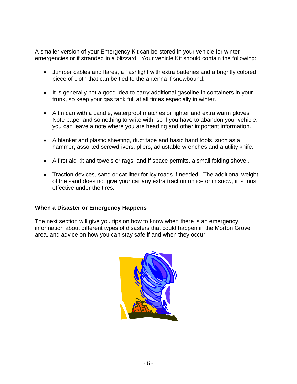A smaller version of your Emergency Kit can be stored in your vehicle for winter emergencies or if stranded in a blizzard. Your vehicle Kit should contain the following:

- Jumper cables and flares, a flashlight with extra batteries and a brightly colored piece of cloth that can be tied to the antenna if snowbound.
- It is generally not a good idea to carry additional gasoline in containers in your trunk, so keep your gas tank full at all times especially in winter.
- A tin can with a candle, waterproof matches or lighter and extra warm gloves. Note paper and something to write with, so if you have to abandon your vehicle, you can leave a note where you are heading and other important information.
- A blanket and plastic sheeting, duct tape and basic hand tools, such as a hammer, assorted screwdrivers, pliers, adjustable wrenches and a utility knife.
- A first aid kit and towels or rags, and if space permits, a small folding shovel.
- Traction devices, sand or cat litter for icy roads if needed. The additional weight of the sand does not give your car any extra traction on ice or in snow, it is most effective under the tires.

#### **When a Disaster or Emergency Happens**

The next section will give you tips on how to know when there is an emergency, information about different types of disasters that could happen in the Morton Grove area, and advice on how you can stay safe if and when they occur.

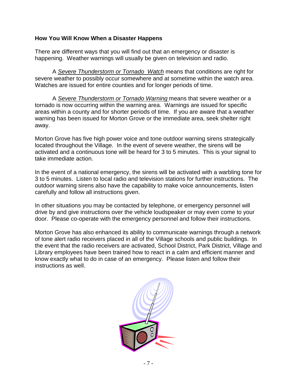#### **How You Will Know When a Disaster Happens**

There are different ways that you will find out that an emergency or disaster is happening. Weather warnings will usually be given on television and radio.

A *Severe Thunderstorm or Tornado Watch* means that conditions are right for severe weather to possibly occur somewhere and at sometime within the watch area. Watches are issued for entire counties and for longer periods of time.

A *Severe Thunderstorm or Tornado Warning* means that severe weather or a tornado is now occurring within the warning area. Warnings are issued for specific areas within a county and for shorter periods of time. If you are aware that a weather warning has been issued for Morton Grove or the immediate area, seek shelter right away.

Morton Grove has five high power voice and tone outdoor warning sirens strategically located throughout the Village. In the event of severe weather, the sirens will be activated and a continuous tone will be heard for 3 to 5 minutes. This is your signal to take immediate action.

In the event of a national emergency, the sirens will be activated with a warbling tone for 3 to 5 minutes. Listen to local radio and television stations for further instructions. The outdoor warning sirens also have the capability to make voice announcements, listen carefully and follow all instructions given.

In other situations you may be contacted by telephone, or emergency personnel will drive by and give instructions over the vehicle loudspeaker or may even come to your door. Please co-operate with the emergency personnel and follow their instructions.

Morton Grove has also enhanced its ability to communicate warnings through a network of tone alert radio receivers placed in all of the Village schools and public buildings. In the event that the radio receivers are activated, School District, Park District, Village and Library employees have been trained how to react in a calm and efficient manner and know exactly what to do in case of an emergency. Please listen and follow their instructions as well.

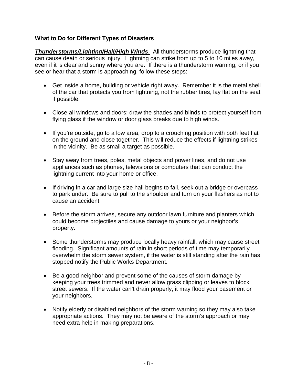## **What to Do for Different Types of Disasters**

*Thunderstorms/Lighting/Hail/High Winds*. All thunderstorms produce lightning that can cause death or serious injury. Lightning can strike from up to 5 to 10 miles away, even if it is clear and sunny where you are. If there is a thunderstorm warning, or if you see or hear that a storm is approaching, follow these steps:

- Get inside a home, building or vehicle right away. Remember it is the metal shell of the car that protects you from lightning, not the rubber tires, lay flat on the seat if possible.
- Close all windows and doors; draw the shades and blinds to protect yourself from flying glass if the window or door glass breaks due to high winds.
- If you're outside, go to a low area, drop to a crouching position with both feet flat on the ground and close together. This will reduce the effects if lightning strikes in the vicinity. Be as small a target as possible.
- Stay away from trees, poles, metal objects and power lines, and do not use appliances such as phones, televisions or computers that can conduct the lightning current into your home or office.
- If driving in a car and large size hail begins to fall, seek out a bridge or overpass to park under. Be sure to pull to the shoulder and turn on your flashers as not to cause an accident.
- Before the storm arrives, secure any outdoor lawn furniture and planters which could become projectiles and cause damage to yours or your neighbor's property.
- Some thunderstorms may produce locally heavy rainfall, which may cause street flooding. Significant amounts of rain in short periods of time may temporarily overwhelm the storm sewer system, if the water is still standing after the rain has stopped notify the Public Works Department.
- Be a good neighbor and prevent some of the causes of storm damage by keeping your trees trimmed and never allow grass clipping or leaves to block street sewers. If the water can't drain properly, it may flood your basement or your neighbors.
- Notify elderly or disabled neighbors of the storm warning so they may also take appropriate actions. They may not be aware of the storm's approach or may need extra help in making preparations.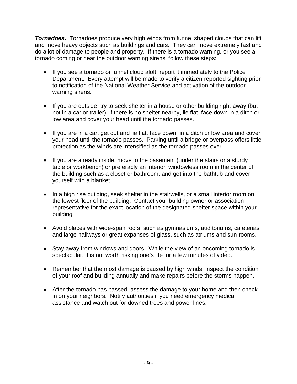*Tornadoes.* Tornadoes produce very high winds from funnel shaped clouds that can lift and move heavy objects such as buildings and cars. They can move extremely fast and do a lot of damage to people and property. If there is a tornado warning, or you see a tornado coming or hear the outdoor warning sirens, follow these steps:

- If you see a tornado or funnel cloud aloft, report it immediately to the Police Department. Every attempt will be made to verify a citizen reported sighting prior to notification of the National Weather Service and activation of the outdoor warning sirens.
- If you are outside, try to seek shelter in a house or other building right away (but not in a car or trailer); if there is no shelter nearby, lie flat, face down in a ditch or low area and cover your head until the tornado passes.
- If you are in a car, get out and lie flat, face down, in a ditch or low area and cover your head until the tornado passes. Parking until a bridge or overpass offers little protection as the winds are intensified as the tornado passes over.
- If you are already inside, move to the basement (under the stairs or a sturdy table or workbench) or preferably an interior, windowless room in the center of the building such as a closet or bathroom, and get into the bathtub and cover yourself with a blanket.
- In a high rise building, seek shelter in the stairwells, or a small interior room on the lowest floor of the building. Contact your building owner or association representative for the exact location of the designated shelter space within your building.
- Avoid places with wide-span roofs, such as gymnasiums, auditoriums, cafeterias and large hallways or great expanses of glass, such as atriums and sun-rooms.
- Stay away from windows and doors. While the view of an oncoming tornado is spectacular, it is not worth risking one's life for a few minutes of video.
- Remember that the most damage is caused by high winds, inspect the condition of your roof and building annually and make repairs before the storms happen.
- After the tornado has passed, assess the damage to your home and then check in on your neighbors. Notify authorities if you need emergency medical assistance and watch out for downed trees and power lines.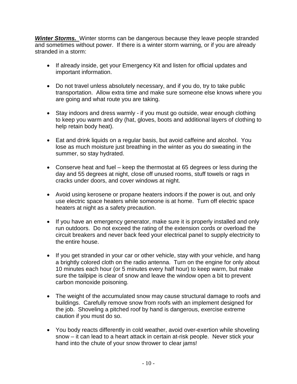**Winter Storms.** Winter storms can be dangerous because they leave people stranded and sometimes without power. If there is a winter storm warning, or if you are already stranded in a storm:

- If already inside, get your Emergency Kit and listen for official updates and important information.
- Do not travel unless absolutely necessary, and if you do, try to take public transportation. Allow extra time and make sure someone else knows where you are going and what route you are taking.
- Stay indoors and dress warmly if you must go outside, wear enough clothing to keep you warm and dry (hat, gloves, boots and additional layers of clothing to help retain body heat).
- Eat and drink liquids on a regular basis, but avoid caffeine and alcohol. You lose as much moisture just breathing in the winter as you do sweating in the summer, so stay hydrated.
- Conserve heat and fuel keep the thermostat at 65 degrees or less during the day and 55 degrees at night, close off unused rooms, stuff towels or rags in cracks under doors, and cover windows at night.
- Avoid using kerosene or propane heaters indoors if the power is out, and only use electric space heaters while someone is at home. Turn off electric space heaters at night as a safety precaution.
- If you have an emergency generator, make sure it is properly installed and only run outdoors. Do not exceed the rating of the extension cords or overload the circuit breakers and never back feed your electrical panel to supply electricity to the entire house.
- If you get stranded in your car or other vehicle, stay with your vehicle, and hang a brightly colored cloth on the radio antenna. Turn on the engine for only about 10 minutes each hour (or 5 minutes every half hour) to keep warm, but make sure the tailpipe is clear of snow and leave the window open a bit to prevent carbon monoxide poisoning.
- The weight of the accumulated snow may cause structural damage to roofs and buildings. Carefully remove snow from roofs with an implement designed for the job. Shoveling a pitched roof by hand is dangerous, exercise extreme caution if you must do so.
- You body reacts differently in cold weather, avoid over-exertion while shoveling snow – it can lead to a heart attack in certain at-risk people. Never stick your hand into the chute of your snow thrower to clear jams!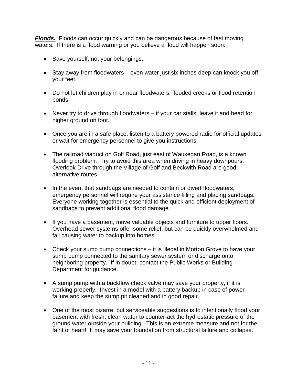*Floods.* Floods can occur quickly and can be dangerous because of fast moving waters. If there is a flood warning or you believe a flood will happen soon:

- Save yourself, not your belongings.
- Stay away from floodwaters even water just six inches deep can knock you off your feet.
- Do not let children play in or near floodwaters, flooded creeks or flood retention ponds.
- Never try to drive through floodwaters if your car stalls, leave it and head for higher ground on foot.
- Once you are in a safe place, listen to a battery powered radio for official updates or wait for emergency personnel to give you instructions.
- The railroad viaduct on Golf Road, just east of Waukegan Road, is a known flooding problem. Try to avoid this area when driving in heavy downpours. Overlook Drive through the Village of Golf and Beckwith Road are good alternative routes.
- In the event that sandbags are needed to contain or divert floodwaters, emergency personnel will require your assistance filling and placing sandbags. Everyone working together is essential to the quick and efficient deployment of sandbags to prevent additional flood damage.
- If you have a basement, move valuable objects and furniture to upper floors. Overhead sewer systems offer some relief, but can be quickly overwhelmed and fail causing water to backup into homes.
- Check your sump pump connections it is illegal in Morton Grove to have your sump pump connected to the sanitary sewer system or discharge onto neighboring property. If in doubt, contact the Public Works or Building Department for guidance.
- A sump pump with a backflow check valve may save your property, if it is working properly. Invest in a model with a battery backup in case of power failure and keep the sump pit cleaned and in good repair.
- One of the most bizarre, but serviceable suggestions is to intentionally flood your basement with fresh, clean water to counter-act the hydrostatic pressure of the ground water outside your building. This is an extreme measure and not for the faint of heart! It may save your foundation from structural failure and collapse.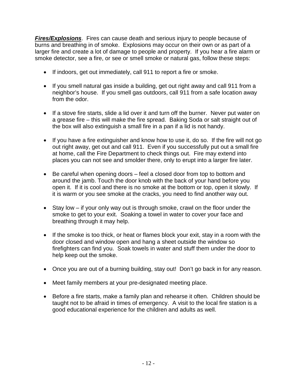*Fires/Explosions*. Fires can cause death and serious injury to people because of burns and breathing in of smoke. Explosions may occur on their own or as part of a larger fire and create a lot of damage to people and property. If you hear a fire alarm or smoke detector, see a fire, or see or smell smoke or natural gas, follow these steps:

- If indoors, get out immediately, call 911 to report a fire or smoke.
- If you smell natural gas inside a building, get out right away and call 911 from a neighbor's house. If you smell gas outdoors, call 911 from a safe location away from the odor.
- If a stove fire starts, slide a lid over it and turn off the burner. Never put water on a grease fire – this will make the fire spread. Baking Soda or salt straight out of the box will also extinguish a small fire in a pan if a lid is not handy.
- If you have a fire extinguisher and know how to use it, do so. If the fire will not go out right away, get out and call 911. Even if you successfully put out a small fire at home, call the Fire Department to check things out. Fire may extend into places you can not see and smolder there, only to erupt into a larger fire later.
- Be careful when opening doors feel a closed door from top to bottom and around the jamb. Touch the door knob with the back of your hand before you open it. If it is cool and there is no smoke at the bottom or top, open it slowly. If it is warm or you see smoke at the cracks, you need to find another way out.
- Stay low if your only way out is through smoke, crawl on the floor under the smoke to get to your exit. Soaking a towel in water to cover your face and breathing through it may help.
- If the smoke is too thick, or heat or flames block your exit, stay in a room with the door closed and window open and hang a sheet outside the window so firefighters can find you. Soak towels in water and stuff them under the door to help keep out the smoke.
- Once you are out of a burning building, stay out! Don't go back in for any reason.
- Meet family members at your pre-designated meeting place.
- Before a fire starts, make a family plan and rehearse it often. Children should be taught not to be afraid in times of emergency. A visit to the local fire station is a good educational experience for the children and adults as well.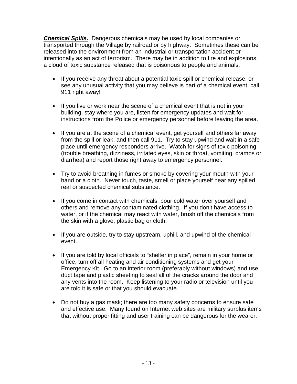*Chemical Spills.* Dangerous chemicals may be used by local companies or transported through the Village by railroad or by highway. Sometimes these can be released into the environment from an industrial or transportation accident or intentionally as an act of terrorism. There may be in addition to fire and explosions, a cloud of toxic substance released that is poisonous to people and animals.

- If you receive any threat about a potential toxic spill or chemical release, or see any unusual activity that you may believe is part of a chemical event, call 911 right away!
- If you live or work near the scene of a chemical event that is not in your building, stay where you are, listen for emergency updates and wait for instructions from the Police or emergency personnel before leaving the area.
- If you are at the scene of a chemical event, get yourself and others far away from the spill or leak, and then call 911. Try to stay upwind and wait in a safe place until emergency responders arrive. Watch for signs of toxic poisoning (trouble breathing, dizziness, irritated eyes, skin or throat, vomiting, cramps or diarrhea) and report those right away to emergency personnel.
- Try to avoid breathing in fumes or smoke by covering your mouth with your hand or a cloth. Never touch, taste, smell or place yourself near any spilled real or suspected chemical substance.
- If you come in contact with chemicals, pour cold water over yourself and others and remove any contaminated clothing. If you don't have access to water, or if the chemical may react with water, brush off the chemicals from the skin with a glove, plastic bag or cloth.
- If you are outside, try to stay upstream, uphill, and upwind of the chemical event.
- If you are told by local officials to "shelter in place", remain in your home or office, turn off all heating and air conditioning systems and get your Emergency Kit. Go to an interior room (preferably without windows) and use duct tape and plastic sheeting to seal all of the cracks around the door and any vents into the room. Keep listening to your radio or television until you are told it is safe or that you should evacuate.
- Do not buy a gas mask; there are too many safety concerns to ensure safe and effective use. Many found on Internet web sites are military surplus items that without proper fitting and user training can be dangerous for the wearer.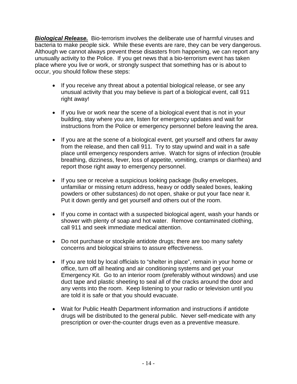*Biological Release.* Bio-terrorism involves the deliberate use of harmful viruses and bacteria to make people sick. While these events are rare, they can be very dangerous. Although we cannot always prevent these disasters from happening, we can report any unusually activity to the Police. If you get news that a bio-terrorism event has taken place where you live or work, or strongly suspect that something has or is about to occur, you should follow these steps:

- If you receive any threat about a potential biological release, or see any unusual activity that you may believe is part of a biological event, call 911 right away!
- If you live or work near the scene of a biological event that is not in your building, stay where you are, listen for emergency updates and wait for instructions from the Police or emergency personnel before leaving the area.
- If you are at the scene of a biological event, get yourself and others far away from the release, and then call 911. Try to stay upwind and wait in a safe place until emergency responders arrive. Watch for signs of infection (trouble breathing, dizziness, fever, loss of appetite, vomiting, cramps or diarrhea) and report those right away to emergency personnel.
- If you see or receive a suspicious looking package (bulky envelopes, unfamiliar or missing return address, heavy or oddly sealed boxes, leaking powders or other substances) do not open, shake or put your face near it. Put it down gently and get yourself and others out of the room.
- If you come in contact with a suspected biological agent, wash your hands or shower with plenty of soap and hot water. Remove contaminated clothing, call 911 and seek immediate medical attention.
- Do not purchase or stockpile antidote drugs; there are too many safety concerns and biological strains to assure effectiveness.
- If you are told by local officials to "shelter in place", remain in your home or office, turn off all heating and air conditioning systems and get your Emergency Kit. Go to an interior room (preferably without windows) and use duct tape and plastic sheeting to seal all of the cracks around the door and any vents into the room. Keep listening to your radio or television until you are told it is safe or that you should evacuate.
- Wait for Public Health Department information and instructions if antidote drugs will be distributed to the general public. Never self-medicate with any prescription or over-the-counter drugs even as a preventive measure.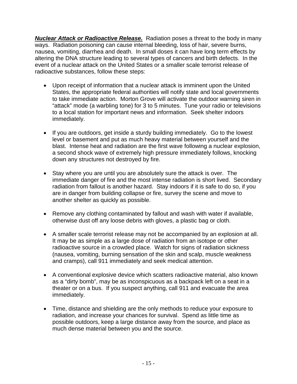*Nuclear Attack or Radioactive Release.* Radiation poses a threat to the body in many ways. Radiation poisoning can cause internal bleeding, loss of hair, severe burns, nausea, vomiting, diarrhea and death. In small doses it can have long term effects by altering the DNA structure leading to several types of cancers and birth defects. In the event of a nuclear attack on the United States or a smaller scale terrorist release of radioactive substances, follow these steps:

- Upon receipt of information that a nuclear attack is imminent upon the United States, the appropriate federal authorities will notify state and local governments to take immediate action. Morton Grove will activate the outdoor warning siren in "attack" mode (a warbling tone) for 3 to 5 minutes. Tune your radio or televisions to a local station for important news and information. Seek shelter indoors immediately.
- If you are outdoors, get inside a sturdy building immediately. Go to the lowest level or basement and put as much heavy material between yourself and the blast. Intense heat and radiation are the first wave following a nuclear explosion, a second shock wave of extremely high pressure immediately follows, knocking down any structures not destroyed by fire.
- Stay where you are until you are absolutely sure the attack is over. The immediate danger of fire and the most intense radiation is short lived. Secondary radiation from fallout is another hazard. Stay indoors if it is safe to do so, if you are in danger from building collapse or fire, survey the scene and move to another shelter as quickly as possible.
- Remove any clothing contaminated by fallout and wash with water if available, otherwise dust off any loose debris with gloves, a plastic bag or cloth.
- A smaller scale terrorist release may not be accompanied by an explosion at all. It may be as simple as a large dose of radiation from an isotope or other radioactive source in a crowded place. Watch for signs of radiation sickness (nausea, vomiting, burning sensation of the skin and scalp, muscle weakness and cramps), call 911 immediately and seek medical attention.
- A conventional explosive device which scatters radioactive material, also known as a "dirty bomb", may be as inconspicuous as a backpack left on a seat in a theater or on a bus. If you suspect anything, call 911 and evacuate the area immediately.
- Time, distance and shielding are the only methods to reduce your exposure to radiation, and increase your chances for survival. Spend as little time as possible outdoors, keep a large distance away from the source, and place as much dense material between you and the source.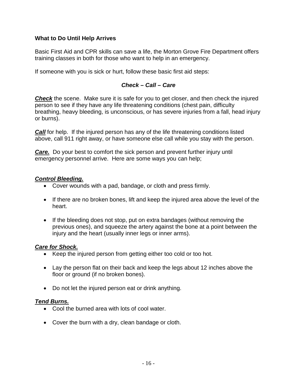#### **What to Do Until Help Arrives**

Basic First Aid and CPR skills can save a life, the Morton Grove Fire Department offers training classes in both for those who want to help in an emergency.

If someone with you is sick or hurt, follow these basic first aid steps:

#### *Check – Call – Care*

**Check** the scene. Make sure it is safe for you to get closer, and then check the injured person to see if they have any life threatening conditions (chest pain, difficulty breathing, heavy bleeding, is unconscious, or has severe injuries from a fall, head injury or burns).

*Call* for help. If the injured person has any of the life threatening conditions listed above, call 911 right away, or have someone else call while you stay with the person.

*Care.* Do your best to comfort the sick person and prevent further injury until emergency personnel arrive. Here are some ways you can help;

#### *Control Bleeding.*

- Cover wounds with a pad, bandage, or cloth and press firmly.
- If there are no broken bones, lift and keep the injured area above the level of the heart.
- If the bleeding does not stop, put on extra bandages (without removing the previous ones), and squeeze the artery against the bone at a point between the injury and the heart (usually inner legs or inner arms).

#### *Care for Shock.*

- Keep the injured person from getting either too cold or too hot.
- Lay the person flat on their back and keep the legs about 12 inches above the floor or ground (if no broken bones).
- Do not let the injured person eat or drink anything.

#### *Tend Burns.*

- Cool the burned area with lots of cool water.
- Cover the burn with a dry, clean bandage or cloth.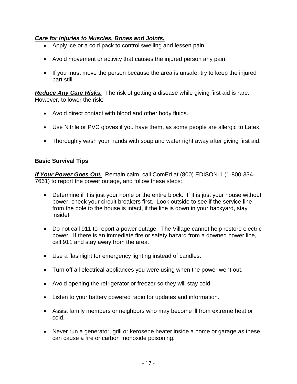#### *Care for Injuries to Muscles, Bones and Joints.*

- Apply ice or a cold pack to control swelling and lessen pain.
- Avoid movement or activity that causes the injured person any pain.
- If you must move the person because the area is unsafe, try to keep the injured part still.

*Reduce Any Care Risks.* The risk of getting a disease while giving first aid is rare. However, to lower the risk:

- Avoid direct contact with blood and other body fluids.
- Use Nitrile or PVC gloves if you have them, as some people are allergic to Latex.
- Thoroughly wash your hands with soap and water right away after giving first aid.

#### **Basic Survival Tips**

*If Your Power Goes Out.* Remain calm, call ComEd at (800) EDISON-1 (1-800-334- 7661) to report the power outage, and follow these steps:

- Determine if it is just your home or the entire block. If it is just your house without power, check your circuit breakers first. Look outside to see if the service line from the pole to the house is intact, if the line is down in your backyard, stay inside!
- Do not call 911 to report a power outage. The Village cannot help restore electric power. If there is an immediate fire or safety hazard from a downed power line, call 911 and stay away from the area.
- Use a flashlight for emergency lighting instead of candles.
- Turn off all electrical appliances you were using when the power went out.
- Avoid opening the refrigerator or freezer so they will stay cold.
- Listen to your battery powered radio for updates and information.
- Assist family members or neighbors who may become ill from extreme heat or cold.
- Never run a generator, grill or kerosene heater inside a home or garage as these can cause a fire or carbon monoxide poisoning.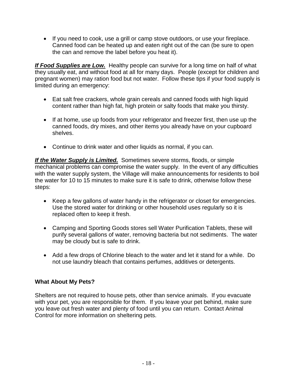• If you need to cook, use a grill or camp stove outdoors, or use your fireplace. Canned food can be heated up and eaten right out of the can (be sure to open the can and remove the label before you heat it).

*If Food Supplies are Low.* Healthy people can survive for a long time on half of what they usually eat, and without food at all for many days. People (except for children and pregnant women) may ration food but not water. Follow these tips if your food supply is limited during an emergency:

- Eat salt free crackers, whole grain cereals and canned foods with high liquid content rather than high fat, high protein or salty foods that make you thirsty.
- If at home, use up foods from your refrigerator and freezer first, then use up the canned foods, dry mixes, and other items you already have on your cupboard shelves.
- Continue to drink water and other liquids as normal, if you can.

*If the Water Supply is Limited.* Sometimes severe storms, floods, or simple mechanical problems can compromise the water supply. In the event of any difficulties with the water supply system, the Village will make announcements for residents to boil the water for 10 to 15 minutes to make sure it is safe to drink, otherwise follow these steps:

- Keep a few gallons of water handy in the refrigerator or closet for emergencies. Use the stored water for drinking or other household uses regularly so it is replaced often to keep it fresh.
- Camping and Sporting Goods stores sell Water Purification Tablets, these will purify several gallons of water, removing bacteria but not sediments. The water may be cloudy but is safe to drink.
- Add a few drops of Chlorine bleach to the water and let it stand for a while. Do not use laundry bleach that contains perfumes, additives or detergents.

## **What About My Pets?**

Shelters are not required to house pets, other than service animals. If you evacuate with your pet, you are responsible for them. If you leave your pet behind, make sure you leave out fresh water and plenty of food until you can return. Contact Animal Control for more information on sheltering pets.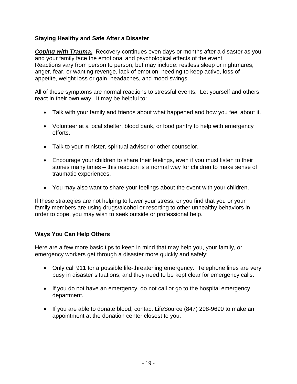## **Staying Healthy and Safe After a Disaster**

**Coping with Trauma.** Recovery continues even days or months after a disaster as you and your family face the emotional and psychological effects of the event. Reactions vary from person to person, but may include: restless sleep or nightmares, anger, fear, or wanting revenge, lack of emotion, needing to keep active, loss of appetite, weight loss or gain, headaches, and mood swings.

All of these symptoms are normal reactions to stressful events. Let yourself and others react in their own way. It may be helpful to:

- Talk with your family and friends about what happened and how you feel about it.
- Volunteer at a local shelter, blood bank, or food pantry to help with emergency efforts.
- Talk to your minister, spiritual advisor or other counselor.
- Encourage your children to share their feelings, even if you must listen to their stories many times – this reaction is a normal way for children to make sense of traumatic experiences.
- You may also want to share your feelings about the event with your children.

If these strategies are not helping to lower your stress, or you find that you or your family members are using drugs/alcohol or resorting to other unhealthy behaviors in order to cope, you may wish to seek outside or professional help.

## **Ways You Can Help Others**

Here are a few more basic tips to keep in mind that may help you, your family, or emergency workers get through a disaster more quickly and safely:

- Only call 911 for a possible life-threatening emergency. Telephone lines are very busy in disaster situations, and they need to be kept clear for emergency calls.
- If you do not have an emergency, do not call or go to the hospital emergency department.
- If you are able to donate blood, contact LifeSource (847) 298-9690 to make an appointment at the donation center closest to you.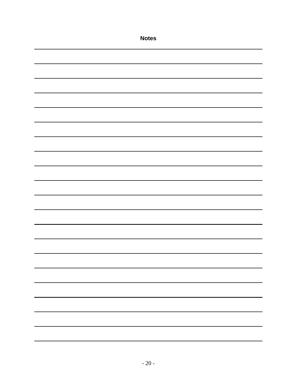| <b>Notes</b> |
|--------------|
|              |
|              |
|              |
|              |
|              |
|              |
|              |
|              |
|              |
|              |
|              |
|              |
|              |
|              |
|              |
|              |
|              |
|              |
|              |
|              |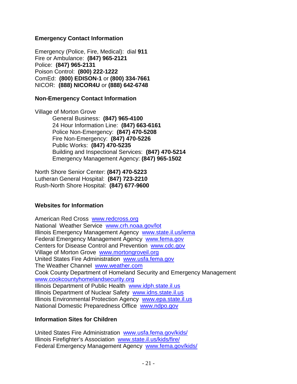#### **Emergency Contact Information**

Emergency (Police, Fire, Medical): dial **911** Fire or Ambulance: **(847) 965-2121** Police: **(847) 965-2131** Poison Control: **(800) 222-1222** ComEd: **(800) EDISON-1** or **(800) 334-7661** NICOR: **(888) NICOR4U** or **(888) 642-6748**

#### **Non-Emergency Contact Information**

Village of Morton Grove General Business: **(847) 965-4100** 24 Hour Information Line: **(847) 663-6161** Police Non-Emergency: **(847) 470-5208** Fire Non-Emergency: **(847) 470-5226** Public Works: **(847) 470-5235** Building and Inspectional Services: **(847) 470-5214** Emergency Management Agency: **(847) 965-1502**

North Shore Senior Center: **(847) 470-5223** Lutheran General Hospital: **(847) 723-2210** Rush-North Shore Hospital: **(847) 677-9600**

#### **Websites for Information**

American Red Cross [www.redcross.org](http://www.redcross.org/) National Weather Service [www.crh.noaa.gov/lot](http://www.crh.noaa.gov/lot) Illinois Emergency Management Agency [www.state.il.us/iema](http://www.state.il.us/iema) Federal Emergency Management Agency [www.fema.gov](http://www.fema.gov/) Centers for Disease Control and Prevention [www.cdc.gov](http://www.cdc.gov/) Village of Morton Grove [www.mortongroveil.org](http://www.mortongroveil.org/) United States Fire Administration [www.usfa.fema.gov](http://www.usfa.fema.gov/) The Weather Channel [www.weather.com](http://www.weather.com/) Cook County Department of Homeland Security and Emergency Management [www.cookcountyhomelandsecurity.org](http://www.cookcountyhomelandsecurity.org/) Illinois Department of Public Health [www.idph.state.il.us](http://www.idph.state.il.us/) Illinois Department of Nuclear Safety [www.idns.state.il.us](http://www.idns.state.il.us/) Illinois Environmental Protection Agency [www.epa.state.il.us](http://www.epa.state.il.us/) National Domestic Preparedness Office [www.ndpo.gov](http://www.ndpo.gov/)

#### **Information Sites for Children**

United States Fire Administration [www.usfa.fema.gov/kids/](http://www.usfa.fema.gov/kids/) Illinois Firefighter's Association [www.state.il.us/kids/fire/](http://www.state.il.us/kids/fire/) Federal Emergency Management Agency [www.fema.gov/kids/](http://www.fema.gov/kids/)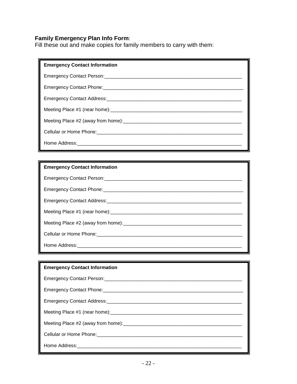#### **Family Emergency Plan Info Form**:

Fill these out and make copies for family members to carry with them:

| <b>Emergency Contact Information</b> |
|--------------------------------------|
|                                      |
|                                      |
|                                      |
|                                      |
|                                      |
|                                      |
|                                      |

## **Emergency Contact Information**

#### **Emergency Contact Information**

| Meeting Place #2 (away from home): Meeting and the state of the state of the Meeting Place #2 (away from home) |
|----------------------------------------------------------------------------------------------------------------|
|                                                                                                                |
|                                                                                                                |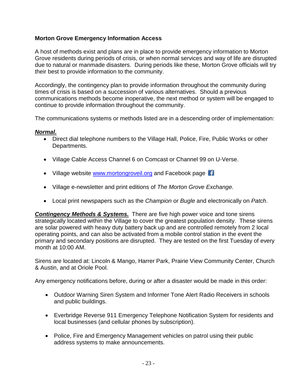## **Morton Grove Emergency Information Access**

A host of methods exist and plans are in place to provide emergency information to Morton Grove residents during periods of crisis, or when normal services and way of life are disrupted due to natural or manmade disasters. During periods like these, Morton Grove officials will try their best to provide information to the community.

Accordingly, the contingency plan to provide information throughout the community during times of crisis is based on a succession of various alternatives. Should a previous communications methods become inoperative, the next method or system will be engaged to continue to provide information throughout the community.

The communications systems or methods listed are in a descending order of implementation:

#### *Normal.*

- Direct dial telephone numbers to the Village Hall, Police, Fire, Public Works or other Departments.
- Village Cable Access Channel 6 on Comcast or Channel 99 on U-Verse.
- Village website [www.mortongroveil.org](http://www.mortongroveil.org/) and Facebook page
- Village e-newsletter and print editions of *The Morton Grove Exchange.*
- Local print newspapers such as the *Champion* or *Bugle* and electronically on *Patch*.

*Contingency Methods & Systems.* There are five high power voice and tone sirens strategically located within the Village to cover the greatest population density. These sirens are solar powered with heavy duty battery back up and are controlled remotely from 2 local operating points, and can also be activated from a mobile control station in the event the primary and secondary positions are disrupted. They are tested on the first Tuesday of every month at 10:00 AM.

Sirens are located at: Lincoln & Mango, Harrer Park, Prairie View Community Center, Church & Austin, and at Oriole Pool.

Any emergency notifications before, during or after a disaster would be made in this order:

- Outdoor Warning Siren System and Informer Tone Alert Radio Receivers in schools and public buildings.
- Everbridge Reverse 911 Emergency Telephone Notification System for residents and local businesses (and cellular phones by subscription).
- Police, Fire and Emergency Management vehicles on patrol using their public address systems to make announcements.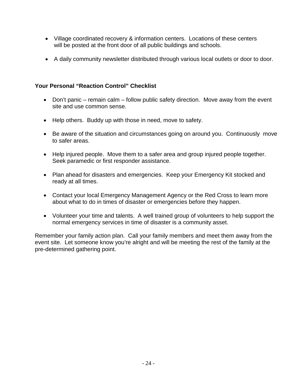- Village coordinated recovery & information centers. Locations of these centers will be posted at the front door of all public buildings and schools.
- A daily community newsletter distributed through various local outlets or door to door.

## **Your Personal "Reaction Control" Checklist**

- Don't panic remain calm follow public safety direction. Move away from the event site and use common sense.
- Help others. Buddy up with those in need, move to safety.
- Be aware of the situation and circumstances going on around you. Continuously move to safer areas.
- Help injured people. Move them to a safer area and group injured people together. Seek paramedic or first responder assistance.
- Plan ahead for disasters and emergencies. Keep your Emergency Kit stocked and ready at all times.
- Contact your local Emergency Management Agency or the Red Cross to learn more about what to do in times of disaster or emergencies before they happen.
- Volunteer your time and talents. A well trained group of volunteers to help support the normal emergency services in time of disaster is a community asset.

Remember your family action plan. Call your family members and meet them away from the event site. Let someone know you're alright and will be meeting the rest of the family at the pre-determined gathering point.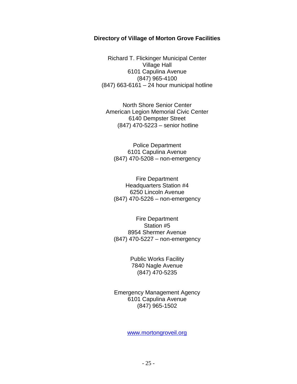#### **Directory of Village of Morton Grove Facilities**

Richard T. Flickinger Municipal Center Village Hall 6101 Capulina Avenue (847) 965-4100 (847) 663-6161 – 24 hour municipal hotline

North Shore Senior Center American Legion Memorial Civic Center 6140 Dempster Street (847) 470-5223 – senior hotline

Police Department 6101 Capulina Avenue (847) 470-5208 – non-emergency

Fire Department Headquarters Station #4 6250 Lincoln Avenue (847) 470-5226 – non-emergency

Fire Department Station #5 8954 Shermer Avenue (847) 470-5227 – non-emergency

> Public Works Facility 7840 Nagle Avenue (847) 470-5235

Emergency Management Agency 6101 Capulina Avenue (847) 965-1502

[www.mortongroveil.org](http://www.mortongroveil.org/)